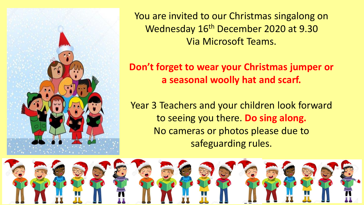

You are invited to our Christmas singalong on Wednesday 16<sup>th</sup> December 2020 at 9.30 Via Microsoft Teams.

**Don't forget to wear your Christmas jumper or a seasonal woolly hat and scarf.**

Year 3 Teachers and your children look forward to seeing you there. **Do sing along.** No cameras or photos please due to safeguarding rules.

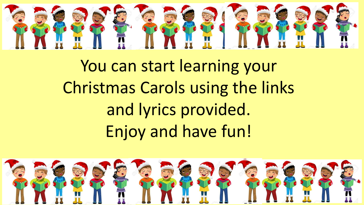

You can start learning your Christmas Carols using the links and lyrics provided. Enjoy and have fun!

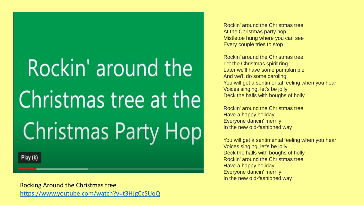# Rockin' around the Christmas tree at the Christmas Party Hop

Play (k)

Rocking Around the Christmas tree <https://www.youtube.com/watch?v=t3HJgCcSUqQ> Rockin' around the Christmas tree At the Christmas party hop Mistletoe hung where you can see Every couple tries to stop

Rockin' around the Christmas tree Let the Christmas spirit ring Later we'll have some pumpkin pie And we'll do some caroling You will get a sentimental feeling when you hear Voices singing, let's be jolly Deck the halls with boughs of holly

Rockin' around the Christmas tree Have a happy holiday Everyone dancin' merrily In the new old-fashioned way

You will get a sentimental feeling when you hear Voices singing, let's be jolly Deck the halls with boughs of holly Rockin' around the Christmas tree Have a happy holiday Everyone dancin' merrily In the new old-fashioned way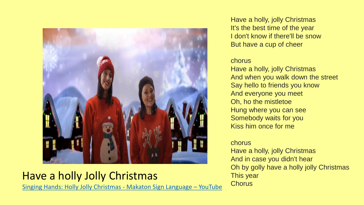

# Have a holly Jolly Christmas

[Singing Hands: Holly Jolly Christmas -](https://www.youtube.com/watch?v=Wo0sIT3JhwM) Makaton Sign Language – YouTube

Have a holly, jolly Christmas It's the best time of the year I don't know if there'll be snow But have a cup of cheer

### chorus

Have a holly, jolly Christmas And when you walk down the street Say hello to friends you know And everyone you meet Oh, ho the mistletoe Hung where you can see Somebody waits for you Kiss him once for me

## chorus

Have a holly, jolly Christmas And in case you didn't hear Oh by golly have a holly jolly Christmas This year **Chorus**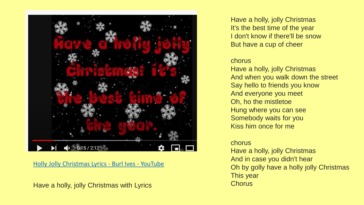

[Holly Jolly Christmas Lyrics -](https://www.youtube.com/watch?v=nVMCUtsmWmQ) Burl Ives - YouTube

Have a holly, jolly Christmas with Lyrics **Exercise 2018** Chorus

Have a holly, jolly Christmas It's the best time of the year I don't know if there'll be snow But have a cup of cheer

#### chorus

Have a holly, jolly Christmas And when you walk down the street Say hello to friends you know And everyone you meet Oh, ho the mistletoe Hung where you can see Somebody waits for you Kiss him once for me

#### chorus

Have a holly, jolly Christmas And in case you didn't hear Oh by golly have a holly jolly Christmas This year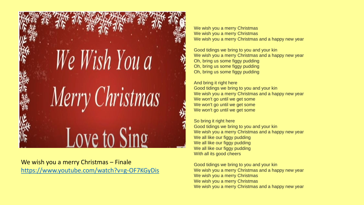

We wish you a merry Christmas – Finale <https://www.youtube.com/watch?v=g-OF7KGyDis> We wish you a merry Christmas We wish you a merry Christmas We wish you a merry Christmas and a happy new year

Good tidings we bring to you and your kin We wish you a merry Christmas and a happy new year Oh, bring us some figgy pudding Oh, bring us some figgy pudding Oh, bring us some figgy pudding

And bring it right here Good tidings we bring to you and your kin We wish you a merry Christmas and a happy new year We won't go until we get some We won't go until we get some We won't go until we get some

So bring it right here Good tidings we bring to you and your kin We wish you a merry Christmas and a happy new year We all like our figgy pudding We all like our figgy pudding We all like our figgy pudding With all its good cheers

Good tidings we bring to you and your kin We wish you a merry Christmas and a happy new year We wish you a merry Christmas We wish you a merry Christmas We wish you a merry Christmas and a happy new year